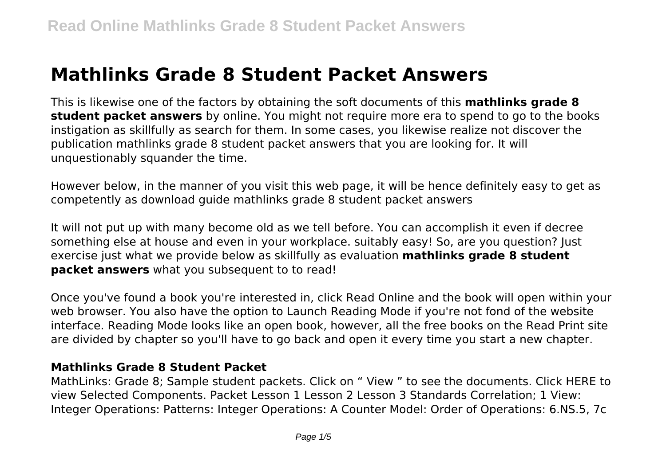# **Mathlinks Grade 8 Student Packet Answers**

This is likewise one of the factors by obtaining the soft documents of this **mathlinks grade 8 student packet answers** by online. You might not require more era to spend to go to the books instigation as skillfully as search for them. In some cases, you likewise realize not discover the publication mathlinks grade 8 student packet answers that you are looking for. It will unquestionably squander the time.

However below, in the manner of you visit this web page, it will be hence definitely easy to get as competently as download guide mathlinks grade 8 student packet answers

It will not put up with many become old as we tell before. You can accomplish it even if decree something else at house and even in your workplace. suitably easy! So, are you question? Just exercise just what we provide below as skillfully as evaluation **mathlinks grade 8 student packet answers** what you subsequent to to read!

Once you've found a book you're interested in, click Read Online and the book will open within your web browser. You also have the option to Launch Reading Mode if you're not fond of the website interface. Reading Mode looks like an open book, however, all the free books on the Read Print site are divided by chapter so you'll have to go back and open it every time you start a new chapter.

#### **Mathlinks Grade 8 Student Packet**

MathLinks: Grade 8; Sample student packets. Click on " View " to see the documents. Click HERE to view Selected Components. Packet Lesson 1 Lesson 2 Lesson 3 Standards Correlation; 1 View: Integer Operations: Patterns: Integer Operations: A Counter Model: Order of Operations: 6.NS.5, 7c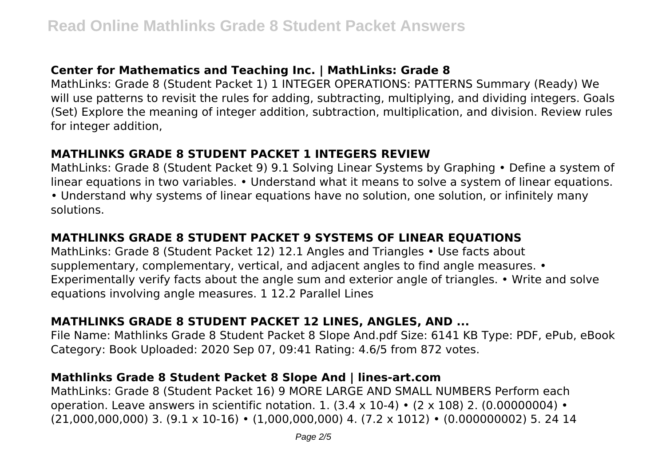## **Center for Mathematics and Teaching Inc. | MathLinks: Grade 8**

MathLinks: Grade 8 (Student Packet 1) 1 INTEGER OPERATIONS: PATTERNS Summary (Ready) We will use patterns to revisit the rules for adding, subtracting, multiplying, and dividing integers. Goals (Set) Explore the meaning of integer addition, subtraction, multiplication, and division. Review rules for integer addition,

#### **MATHLINKS GRADE 8 STUDENT PACKET 1 INTEGERS REVIEW**

MathLinks: Grade 8 (Student Packet 9) 9.1 Solving Linear Systems by Graphing • Define a system of linear equations in two variables. • Understand what it means to solve a system of linear equations. • Understand why systems of linear equations have no solution, one solution, or infinitely many solutions.

## **MATHLINKS GRADE 8 STUDENT PACKET 9 SYSTEMS OF LINEAR EQUATIONS**

MathLinks: Grade 8 (Student Packet 12) 12.1 Angles and Triangles • Use facts about supplementary, complementary, vertical, and adjacent angles to find angle measures. • Experimentally verify facts about the angle sum and exterior angle of triangles. • Write and solve equations involving angle measures. 1 12.2 Parallel Lines

## **MATHLINKS GRADE 8 STUDENT PACKET 12 LINES, ANGLES, AND ...**

File Name: Mathlinks Grade 8 Student Packet 8 Slope And.pdf Size: 6141 KB Type: PDF, ePub, eBook Category: Book Uploaded: 2020 Sep 07, 09:41 Rating: 4.6/5 from 872 votes.

## **Mathlinks Grade 8 Student Packet 8 Slope And | lines-art.com**

MathLinks: Grade 8 (Student Packet 16) 9 MORE LARGE AND SMALL NUMBERS Perform each operation. Leave answers in scientific notation. 1.  $(3.4 \times 10^{-4}) \cdot (2 \times 108)$  2.  $(0.00000004) \cdot$ (21,000,000,000) 3. (9.1 x 10-16) • (1,000,000,000) 4. (7.2 x 1012) • (0.000000002) 5. 24 14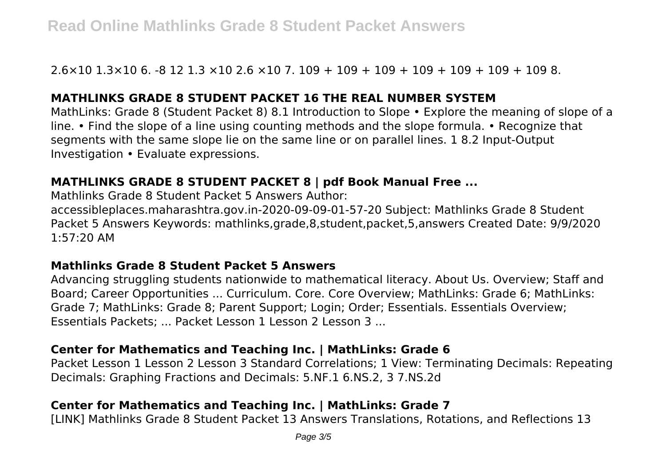2.6×10 1.3×10 6. -8 12 1.3 ×10 2.6 ×10 7. 109 + 109 + 109 + 109 + 109 + 109 + 109 8.

#### **MATHLINKS GRADE 8 STUDENT PACKET 16 THE REAL NUMBER SYSTEM**

MathLinks: Grade 8 (Student Packet 8) 8.1 Introduction to Slope • Explore the meaning of slope of a line. • Find the slope of a line using counting methods and the slope formula. • Recognize that segments with the same slope lie on the same line or on parallel lines. 1 8.2 Input-Output Investigation • Evaluate expressions.

## **MATHLINKS GRADE 8 STUDENT PACKET 8 | pdf Book Manual Free ...**

Mathlinks Grade 8 Student Packet 5 Answers Author:

accessibleplaces.maharashtra.gov.in-2020-09-09-01-57-20 Subject: Mathlinks Grade 8 Student Packet 5 Answers Keywords: mathlinks,grade,8,student,packet,5,answers Created Date: 9/9/2020 1:57:20 AM

#### **Mathlinks Grade 8 Student Packet 5 Answers**

Advancing struggling students nationwide to mathematical literacy. About Us. Overview; Staff and Board; Career Opportunities ... Curriculum. Core. Core Overview; MathLinks: Grade 6; MathLinks: Grade 7; MathLinks: Grade 8; Parent Support; Login; Order; Essentials. Essentials Overview; Essentials Packets; ... Packet Lesson 1 Lesson 2 Lesson 3 ...

## **Center for Mathematics and Teaching Inc. | MathLinks: Grade 6**

Packet Lesson 1 Lesson 2 Lesson 3 Standard Correlations; 1 View: Terminating Decimals: Repeating Decimals: Graphing Fractions and Decimals: 5.NF.1 6.NS.2, 3 7.NS.2d

## **Center for Mathematics and Teaching Inc. | MathLinks: Grade 7**

[LINK] Mathlinks Grade 8 Student Packet 13 Answers Translations, Rotations, and Reflections 13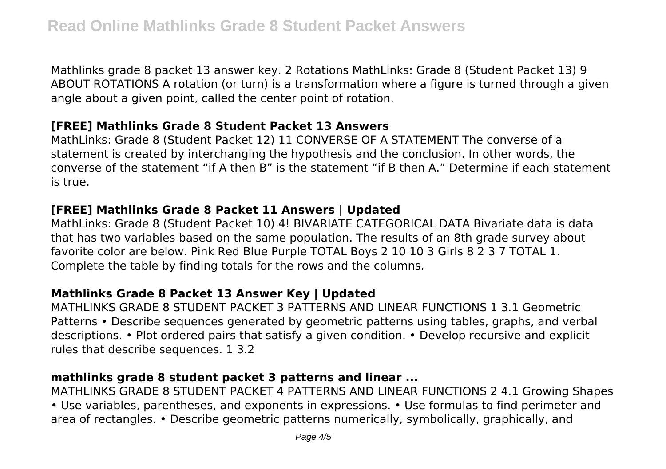Mathlinks grade 8 packet 13 answer key. 2 Rotations MathLinks: Grade 8 (Student Packet 13) 9 ABOUT ROTATIONS A rotation (or turn) is a transformation where a figure is turned through a given angle about a given point, called the center point of rotation.

## **[FREE] Mathlinks Grade 8 Student Packet 13 Answers**

MathLinks: Grade 8 (Student Packet 12) 11 CONVERSE OF A STATEMENT The converse of a statement is created by interchanging the hypothesis and the conclusion. In other words, the converse of the statement "if A then B" is the statement "if B then A." Determine if each statement is true.

## **[FREE] Mathlinks Grade 8 Packet 11 Answers | Updated**

MathLinks: Grade 8 (Student Packet 10) 4! BIVARIATE CATEGORICAL DATA Bivariate data is data that has two variables based on the same population. The results of an 8th grade survey about favorite color are below. Pink Red Blue Purple TOTAL Boys 2 10 10 3 Girls 8 2 3 7 TOTAL 1. Complete the table by finding totals for the rows and the columns.

## **Mathlinks Grade 8 Packet 13 Answer Key | Updated**

MATHLINKS GRADE 8 STUDENT PACKET 3 PATTERNS AND LINEAR FUNCTIONS 1 3.1 Geometric Patterns • Describe sequences generated by geometric patterns using tables, graphs, and verbal descriptions. • Plot ordered pairs that satisfy a given condition. • Develop recursive and explicit rules that describe sequences. 1 3.2

## **mathlinks grade 8 student packet 3 patterns and linear ...**

MATHLINKS GRADE 8 STUDENT PACKET 4 PATTERNS AND LINEAR FUNCTIONS 2 4.1 Growing Shapes • Use variables, parentheses, and exponents in expressions. • Use formulas to find perimeter and area of rectangles. • Describe geometric patterns numerically, symbolically, graphically, and